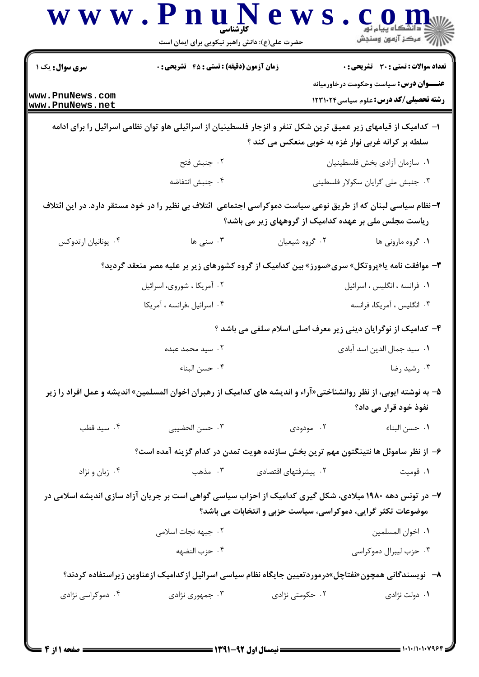| <b>سری سوال :</b> یک ۱             | <b>زمان آزمون (دقیقه) : تستی : 45 تشریحی : 0</b>                                                                  |                                                              | <b>تعداد سوالات : تستی : 30 ٪ تشریحی : 0</b>                                                   |
|------------------------------------|-------------------------------------------------------------------------------------------------------------------|--------------------------------------------------------------|------------------------------------------------------------------------------------------------|
| www.PnuNews.com<br>www.PnuNews.net |                                                                                                                   |                                                              | <b>عنـــوان درس:</b> سیاست وحکومت درخاورمیانه<br><b>رشته تحصیلی/کد درس:</b> علوم سیاسی ۱۲۳۱۰۲۴ |
|                                    | ا– کدامیک از قیامهای زیر عمیق ترین شکل تنفر و انزجار فلسطینیان از اسرائیلی هاو توان نظامی اسرائیل را برای ادامه   | سلطه بر کرانه غربی نوار غزه به خوبی منعکس می کند ؟           |                                                                                                |
|                                    | ۰۲ جنبش فتح                                                                                                       |                                                              | ٠١ سازمان آزادي بخش فلسطينيان                                                                  |
|                                    | ۰۴ جنبش انتفاضه                                                                                                   |                                                              | ۰۳ جنبش ملی گرایان سکولار فلسطینی                                                              |
|                                    | ۲– نظام سیاسی لبنان که از طریق نوعی سیاست دموکراسی اجتماعی  ئتلاف بی نظیر را در خود مستقر دارد. در این ائتلاف     | ریاست مجلس ملی بر عهده کدامیک از گروههای زیر می باشد؟        |                                                                                                |
| ۰۴ يونانيان ارتدوكس                | ۰۳ سنی ها                                                                                                         | ۰۲ گروه شیعیان                                               | ۰۱ گروه مارونی ها                                                                              |
|                                    | <b>۳</b> - موافقت نامه یا«پروتکل» سری«سورز» بین کدامیک از گروه کشورهای زیر بر علیه مصر منعقد گردید؟               |                                                              |                                                                                                |
|                                    | ۰۲ آمریکا ، شوروی، اسرائیل                                                                                        |                                                              | ٠١ فرانسه ، انگليس ، اسرائيل                                                                   |
|                                    | ۰۴ اسرائيل ،فرانسه ، آمريكا                                                                                       |                                                              | ۰۳ انگلیس ، آمریکا، فرانسه                                                                     |
|                                    |                                                                                                                   |                                                              | ۴- کدامیک از نوگرایان دینی زیر معرف اصلی اسلام سلفی می باشد ؟                                  |
|                                    | ۰۲ سید محمد عبده                                                                                                  |                                                              | ٠١. سيد جمال الدين اسد آبادي                                                                   |
|                                    | ۰۴ حسن البناء                                                                                                     |                                                              | ۰۳ رشید رضا                                                                                    |
|                                    | ۵– به نوشته ایوبی، از نظر روانشناختی«آراء و اندیشه های کدامیک از رهبران اخوان المسلمین» اندیشه و عمل افراد را زیر |                                                              | نفوذ خود قرار می داد؟                                                                          |
| ۰۴ سید قطب                         | ۰۳ حسن الحضيبي                                                                                                    | ۰۲ مودودی                                                    | ٠١ حسن البناء                                                                                  |
|                                    | ۶– از نظر ساموئل ها نتینگتون مهم ترین بخش سازنده هویت تمدن در کدام گزینه آمده است؟                                |                                                              |                                                                                                |
| ۰۴ زبان و نژاد                     | ۰۳ مذهب                                                                                                           | ۰۲ پیشرفتهای اقتصادی                                         | ۰۱ قومیت                                                                                       |
|                                    | ۷– در تونس دهه ۱۹۸۰ میلادی، شکل گیری کدامیک از احزاب سیاسی گواهی است بر جریان آزاد سازی اندیشه اسلامی در          |                                                              |                                                                                                |
|                                    |                                                                                                                   | موضوعات تکثر گرایی، دموکراسی، سیاست حزبی و انتخابات می باشد؟ |                                                                                                |
|                                    | ۰۲ جبهه نجات اسلامی                                                                                               |                                                              | ٠١ اخوان المسلمين                                                                              |
|                                    | ۰۴ حزب النضهه                                                                                                     |                                                              | ۰۳ حزب ليبرال دموكراسي                                                                         |
|                                    | ۸–  نویسندگانی همچون«نفتاچل»درموردتعیین جایگاه نظام سیاسی اسرائیل ازکدامیک ازعناوین زیراستفاده کردند؟             |                                                              |                                                                                                |
| ۰۴ دموکراسی نژادی                  | ۰۳ جمهوری نژادی                                                                                                   | ۰۲ حکومتی نژادی                                              | ۰۱ دولت نژادی                                                                                  |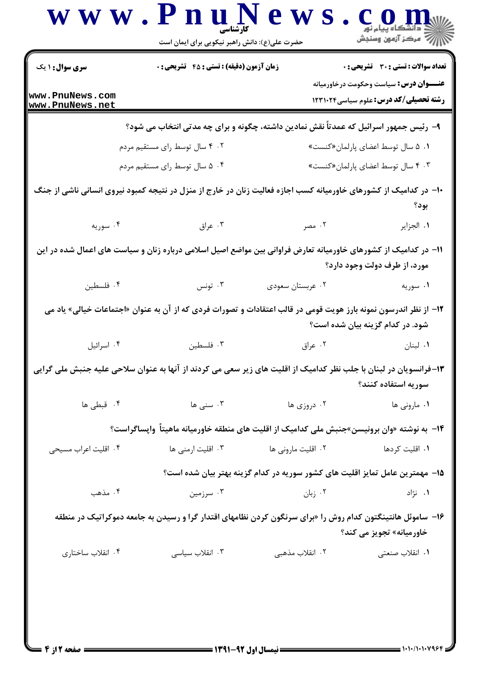| <b>سری سوال :</b> ۱ یک             | زمان آزمون (دقیقه) : تستی : 45 آتشریحی : 0                                                                       |                                                                              | تعداد سوالات : تستي : 30 ٪ تشريحي : 0                                                           |
|------------------------------------|------------------------------------------------------------------------------------------------------------------|------------------------------------------------------------------------------|-------------------------------------------------------------------------------------------------|
| www.PnuNews.com<br>www.PnuNews.net |                                                                                                                  |                                                                              | <b>عنــــوان درس:</b> سیاست وحکومت درخاورمیانه<br><b>رشته تحصیلی/کد درس:</b> علوم سیاسی ۱۲۳۱۰۲۴ |
|                                    | ۹- رئیس جمهور اسرائیل که عمدتاً نقش نمادین داشته، چگونه و برای چه مدتی انتخاب می شود؟                            |                                                                              |                                                                                                 |
|                                    | ۰۲ ۴ سال توسط رای مستقیم مردم                                                                                    |                                                                              | ۰۱ ۵ سال توسط اعضای پارلمان«کنست»                                                               |
|                                    | ۰۴ ه سال توسط رای مستقیم مردم                                                                                    |                                                                              | ۴۰۳ سال توسط اعضای پارلمان«کنست»                                                                |
|                                    | ۱۰– در کدامیک از کشورهای خاورمیانه کسب اجازه فعالیت زنان در خارج از منزل در نتیجه کمبود نیروی انسانی ناشی از جنگ |                                                                              | بود؟                                                                                            |
| ۰۴ سوریه                           | ۰۳ عراق                                                                                                          | ۰۲ مصر                                                                       | ٠١. الجزاير                                                                                     |
|                                    | 1۱– در کدامیک از کشورهای خاورمیانه تعارض فراوانی بین مواضع اصیل اسلامی درباره زنان و سیاست های اعمال شده در این  |                                                                              |                                                                                                 |
|                                    |                                                                                                                  |                                                                              | مورد، از طرف دولت وجود دارد؟                                                                    |
| ۰۴ فلسطین                          | ۰۳ تونس                                                                                                          | ۰۲ عربستان سعودي                                                             | ۰۱ سوریه                                                                                        |
|                                    | ۱۲– از نظر اندرسون نمونه بارز هویت قومی در قالب اعتقادات و تصورات فردی که از آن به عنوان «اجتماعات خیالی» یاد می |                                                                              | شود. در کدام گزینه بیان شده است؟                                                                |
| ۰۴ اسرائيل                         | ۰۳ فلسطین                                                                                                        | ۰۲ عراق                                                                      | ۰۱ لبنان                                                                                        |
|                                    | ۱۳-فرانسویان در لبنان با جلب نظر کدامیک از اقلیت های زیر سعی می کردند از آنها به عنوان سلاحی علیه جنبش ملی گرایی |                                                                              | سوريه استفاده كنند؟                                                                             |
| ۰۴ قبطی ها                         | ۰۳ سنی ها                                                                                                        | ۰۲ دروزی ها                                                                  | ۰۱ مارونی ها                                                                                    |
|                                    | ۱۴–  به نوشته «وان برونیسن»جنبش ملی کدامیک از اقلیت های منطقه خاورمیانه ماهیتاً  واپساگراست؟                     |                                                                              |                                                                                                 |
| ۰۴ اقلیت اعراب مسیحی               | ۰۳ اقلیت ارمنی ها                                                                                                | ۰۲ اقلیت مارونی ها                                                           | ۰۱ اقلیت کردها                                                                                  |
|                                    |                                                                                                                  | ۱۵– مهمترین عامل تمایز اقلیت های کشور سوریه در کدام گزینه بهتر بیان شده است؟ |                                                                                                 |
| ۰۴ مذهب                            | ۰۳ سرزمین                                                                                                        | ۰۲ زبان                                                                      | ۰۱ نژاد                                                                                         |
|                                    | ۱۶– ساموئل هانتینگتون کدام روش را «برای سرنگون کردن نظامهای اقتدار گرا و رسیدن به جامعه دموکراتیک در منطقه       |                                                                              | خاورمیانه» تجویز می کند؟                                                                        |
| ۰۴ انقلاب ساختاري                  | ۰۳ انقلاب سیاسی                                                                                                  | ۰۲ انقلاب مذهبی                                                              | ۰۱ انقلاب صنعت <u>ی</u>                                                                         |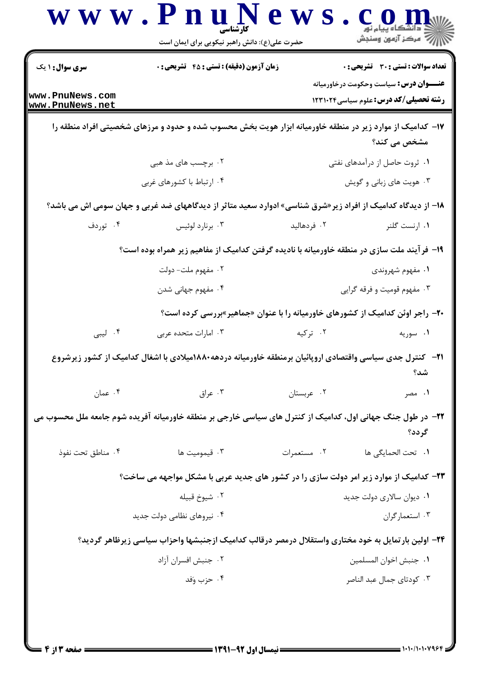| <b>سری سوال :</b> ۱ یک             | زمان آزمون (دقیقه) : تستی : 45 آتشریحی : 0                                                                  |                           | <b>تعداد سوالات : تستی : 30 ٪ تشریحی : 0</b>                                                     |
|------------------------------------|-------------------------------------------------------------------------------------------------------------|---------------------------|--------------------------------------------------------------------------------------------------|
| www.PnuNews.com<br>www.PnuNews.net |                                                                                                             |                           | <b>عنــــوان درس :</b> سیاست وحکومت درخاورمیانه<br><b>رشته تحصیلی/کد درس:</b> علوم سیاسی ۱۲۳۱۰۲۴ |
|                                    | ۱۷– کدامیک از موارد زیر در منطقه خاورمیانه ابزار هویت بخش محسوب شده و حدود و مرزهای شخصیتی افراد منطقه را   |                           | مشخص می کند؟                                                                                     |
|                                    | ۲. برچسب های مذ هبی                                                                                         |                           | ۰۱ ثروت حاصل از درآمدهای نفتی                                                                    |
|                                    | ۰۴ ارتباط با کشورهای غربی                                                                                   |                           | ۰۳ هویت های زبانی و گویش                                                                         |
|                                    | ۱۸– از دیدگاه کدامیک از افراد زیر«شرق شناسی» ادوارد سعید متاثر از دیدگاههای ضد غربی و جهان سومی اش می باشد؟ |                           |                                                                                                  |
| ۰۴ توردف                           | ۰۳ برنارد لوئيس                                                                                             | ۰۲ فردهالید               | ۰۱ ارنست گلنر                                                                                    |
|                                    | ۱۹- فرآیند ملت سازی در منطقه خاورمیانه با نادیده گرفتن کدامیک از مفاهیم زیر همراه بوده است؟                 |                           |                                                                                                  |
|                                    | ۰۲ مفهوم ملت- دولت                                                                                          |                           | ۰۱ مفهوم شهروندی                                                                                 |
|                                    | ۰۴ مفهوم جهانی شدن                                                                                          |                           | ۰۳ مفهوم قومیت و فرقه گرایی                                                                      |
|                                    | <b>۲۰</b> - راجر اوئن کدامیک از کشورهای خاورمیانه را با عنوان «جماهیر»بررسی کرده است؟                       |                           |                                                                                                  |
| ۰۴ لیبی                            | ۰۳ امارات متحده عربی                                                                                        | ۰۲ ترکیه                  | ۰۱ سوریه                                                                                         |
|                                    | ا۲−   کنترل جدی سیاسی واقتصادی اروپائیان برمنطقه خاورمیانه دردهه۱۸۸۰میلادی با اشغال کدامیک از کشور زیرشروع  |                           | شد؟                                                                                              |
| ۰۴ عمان                            | ۰۳ عراق                                                                                                     | ٠٢ عربستان                | ۰۱ مصر                                                                                           |
|                                    | ۲۲- در طول جنگ جهانی اول، کدامیک از کنترل های سیاسی خارجی بر منطقه خاورمیانه آفریده شوم جامعه ملل محسوب می  |                           | گر دد؟                                                                                           |
| ۰۴ مناطق تحت نفوذ                  | ۰۳ قیمومیت ها                                                                                               | ۰۲ مستعمرات               | ٠١. تحت الحمايكي ها                                                                              |
|                                    | <b>۲۳</b> - کدامیک از موارد زیر امر دولت سازی را در کشور های جدید عربی با مشکل مواجهه می ساخت؟              |                           |                                                                                                  |
|                                    | ۰۲ شيوخ قبيله                                                                                               | ۰۱ دیوان سالاری دولت جدید |                                                                                                  |
|                                    | ۰۴ نیروهای نظامی دولت جدید                                                                                  |                           | ۰۳ استعمارگران                                                                                   |
|                                    | ۲۴– اولین بارتمایل به خود مختاری واستقلال درمصر درقالب کدامیک ازجنبشها واحزاب سیاسی زیرظاهر گردید؟          |                           |                                                                                                  |
|                                    | ۰۲ جنبش افسران آزاد                                                                                         |                           | ٠١. جنبش اخوان المسلمين                                                                          |
|                                    | ۰۴ حزب وَفد                                                                                                 |                           | ۰۳ کودتای جمال عبد الناصر                                                                        |